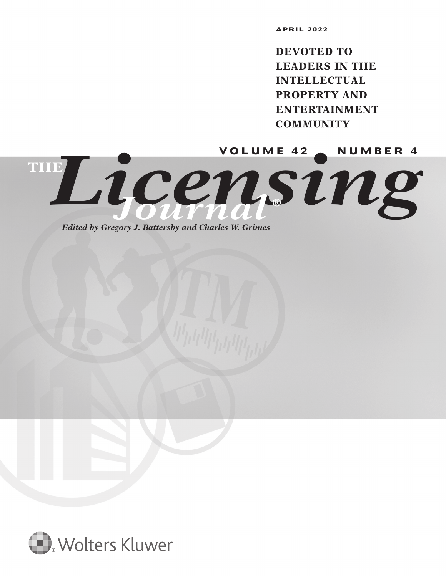**DEVOTED TO LEADERS IN THE INTELLECTUAL PROPERTY AND ENTERTAINMENT COMMUNITY**

Licensing **THE** *Journal* **®**

*Edited by Gregory J. Battersby and Charles W. Grimes*

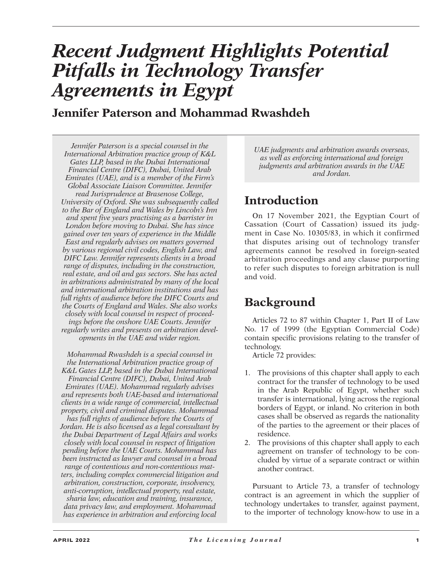# *Recent Judgment Highlights Potential Pitfalls in Technology Transfer Agreements in Egypt*

### **Jennifer Paterson and Mohammad Rwashdeh**

*Jennifer Paterson is a special counsel in the International Arbitration practice group of K&L Gates LLP, based in the Dubai International Financial Centre (DIFC), Dubai, United Arab Emirates (UAE), and is a member of the Firm's Global Associate Liaison Committee. Jennifer read Jurisprudence at Brasenose College, University of Oxford. She was subsequently called to the Bar of England and Wales by Lincoln's Inn and spent five years practising as a barrister in London before moving to Dubai. She has since gained over ten years of experience in the Middle East and regularly advises on matters governed by various regional civil codes, English Law, and DIFC Law. Jennifer represents clients in a broad range of disputes, including in the construction, real estate, and oil and gas sectors. She has acted in arbitrations administrated by many of the local and international arbitration institutions and has full rights of audience before the DIFC Courts and the Courts of England and Wales. She also works closely with local counsel in respect of proceedings before the onshore UAE Courts. Jennifer regularly writes and presents on arbitration developments in the UAE and wider region.*

*Mohammad Rwashdeh is a special counsel in the International Arbitration practice group of K&L Gates LLP, based in the Dubai International Financial Centre (DIFC), Dubai, United Arab Emirates (UAE). Mohammad regularly advises and represents both UAE-based and international clients in a wide range of commercial, intellectual property, civil and criminal disputes. Mohammad has full rights of audience before the Courts of Jordan. He is also licensed as a legal consultant by the Dubai Department of Legal Affairs and works closely with local counsel in respect of litigation pending before the UAE Courts. Mohammad has been instructed as lawyer and counsel in a broad range of contentious and non-contentious matters, including complex commercial litigation and arbitration, construction, corporate, insolvency, anti-corruption, intellectual property, real estate, sharia law, education and training, insurance, data privacy law, and employment. Mohammad has experience in arbitration and enforcing local* 

*UAE judgments and arbitration awards overseas, as well as enforcing international and foreign judgments and arbitration awards in the UAE and Jordan.*

#### **Introduction**

On 17 November 2021, the Egyptian Court of Cassation (Court of Cassation) issued its judgment in Case No. 10305/83, in which it confirmed that disputes arising out of technology transfer agreements cannot be resolved in foreign-seated arbitration proceedings and any clause purporting to refer such disputes to foreign arbitration is null and void.

# **Background**

Articles 72 to 87 within Chapter 1, Part II of Law No. 17 of 1999 (the Egyptian Commercial Code) contain specific provisions relating to the transfer of technology.

Article 72 provides:

- 1. The provisions of this chapter shall apply to each contract for the transfer of technology to be used in the Arab Republic of Egypt, whether such transfer is international, lying across the regional borders of Egypt, or inland. No criterion in both cases shall be observed as regards the nationality of the parties to the agreement or their places of residence.
- 2. The provisions of this chapter shall apply to each agreement on transfer of technology to be concluded by virtue of a separate contract or within another contract.

Pursuant to Article 73, a transfer of technology contract is an agreement in which the supplier of technology undertakes to transfer, against payment, to the importer of technology know-how to use in a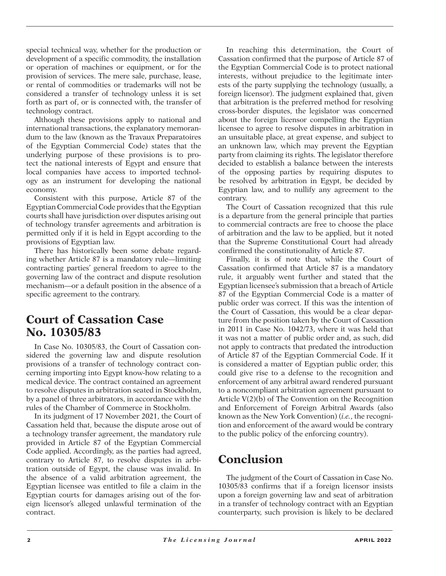special technical way, whether for the production or development of a specific commodity, the installation or operation of machines or equipment, or for the provision of services. The mere sale, purchase, lease, or rental of commodities or trademarks will not be considered a transfer of technology unless it is set forth as part of, or is connected with, the transfer of technology contract.

Although these provisions apply to national and international transactions, the explanatory memorandum to the law (known as the Travaux Preparatoires of the Egyptian Commercial Code) states that the underlying purpose of these provisions is to protect the national interests of Egypt and ensure that local companies have access to imported technology as an instrument for developing the national economy.

Consistent with this purpose, Article 87 of the Egyptian Commercial Code provides that the Egyptian courts shall have jurisdiction over disputes arising out of technology transfer agreements and arbitration is permitted only if it is held in Egypt according to the provisions of Egyptian law.

There has historically been some debate regarding whether Article 87 is a mandatory rule—limiting contracting parties' general freedom to agree to the governing law of the contract and dispute resolution mechanism—or a default position in the absence of a specific agreement to the contrary.

#### **Court of Cassation Case No. 10305/83**

In Case No. 10305/83, the Court of Cassation considered the governing law and dispute resolution provisions of a transfer of technology contract concerning importing into Egypt know-how relating to a medical device. The contract contained an agreement to resolve disputes in arbitration seated in Stockholm, by a panel of three arbitrators, in accordance with the rules of the Chamber of Commerce in Stockholm.

In its judgment of 17 November 2021, the Court of Cassation held that, because the dispute arose out of a technology transfer agreement, the mandatory rule provided in Article 87 of the Egyptian Commercial Code applied. Accordingly, as the parties had agreed, contrary to Article 87, to resolve disputes in arbitration outside of Egypt, the clause was invalid. In the absence of a valid arbitration agreement, the Egyptian licensee was entitled to file a claim in the Egyptian courts for damages arising out of the foreign licensor's alleged unlawful termination of the contract.

In reaching this determination, the Court of Cassation confirmed that the purpose of Article 87 of the Egyptian Commercial Code is to protect national interests, without prejudice to the legitimate interests of the party supplying the technology (usually, a foreign licensor). The judgment explained that, given that arbitration is the preferred method for resolving cross-border disputes, the legislator was concerned about the foreign licensor compelling the Egyptian licensee to agree to resolve disputes in arbitration in an unsuitable place, at great expense, and subject to an unknown law, which may prevent the Egyptian party from claiming its rights. The legislator therefore decided to establish a balance between the interests of the opposing parties by requiring disputes to be resolved by arbitration in Egypt, be decided by Egyptian law, and to nullify any agreement to the contrary.

The Court of Cassation recognized that this rule is a departure from the general principle that parties to commercial contracts are free to choose the place of arbitration and the law to be applied, but it noted that the Supreme Constitutional Court had already confirmed the constitutionality of Article 87.

Finally, it is of note that, while the Court of Cassation confirmed that Article 87 is a mandatory rule, it arguably went further and stated that the Egyptian licensee's submission that a breach of Article 87 of the Egyptian Commercial Code is a matter of public order was correct. If this was the intention of the Court of Cassation, this would be a clear departure from the position taken by the Court of Cassation in 2011 in Case No. 1042/73, where it was held that it was not a matter of public order and, as such, did not apply to contracts that predated the introduction of Article 87 of the Egyptian Commercial Code. If it is considered a matter of Egyptian public order, this could give rise to a defense to the recognition and enforcement of any arbitral award rendered pursuant to a noncompliant arbitration agreement pursuant to Article V(2)(b) of The Convention on the Recognition and Enforcement of Foreign Arbitral Awards (also known as the New York Convention) (*i.e.*, the recognition and enforcement of the award would be contrary to the public policy of the enforcing country).

# **Conclusion**

The judgment of the Court of Cassation in Case No. 10305/83 confirms that if a foreign licensor insists upon a foreign governing law and seat of arbitration in a transfer of technology contract with an Egyptian counterparty, such provision is likely to be declared